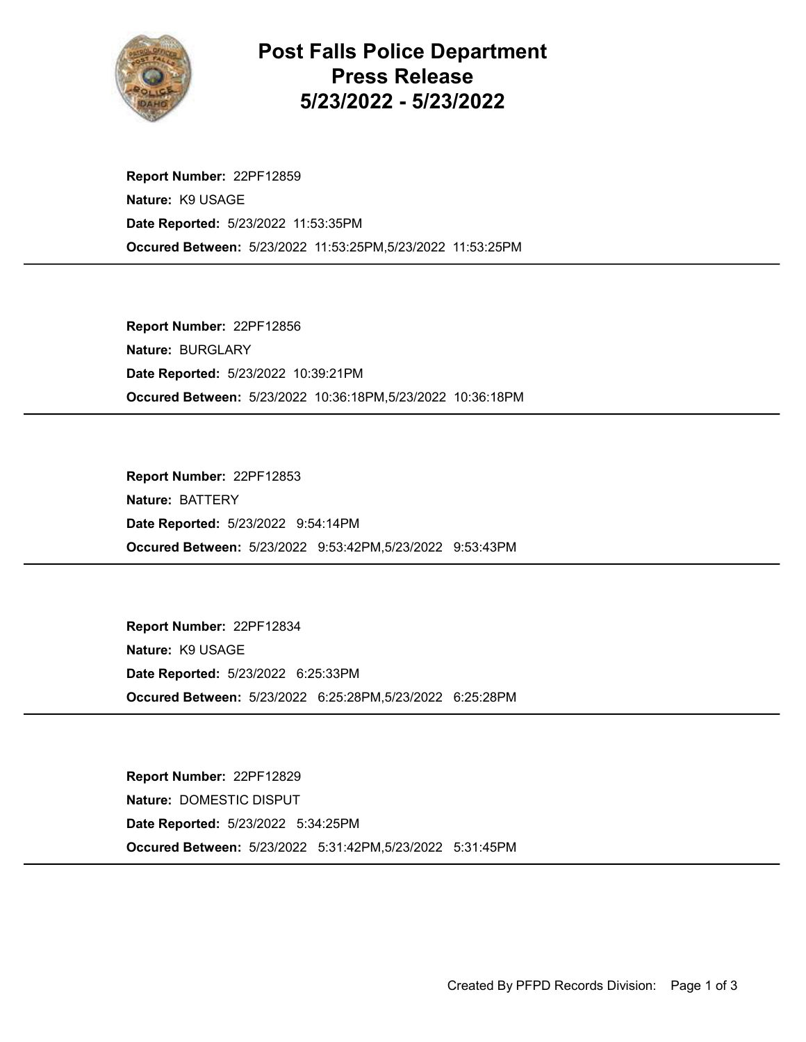

Post Falls Police Department Press Release 5/23/2022 - 5/23/2022

Occured Between: 5/23/2022 11:53:25PM,5/23/2022 11:53:25PM Report Number: 22PF12859 Nature: K9 USAGE Date Reported: 5/23/2022 11:53:35PM

Occured Between: 5/23/2022 10:36:18PM,5/23/2022 10:36:18PM Report Number: 22PF12856 Nature: BURGLARY Date Reported: 5/23/2022 10:39:21PM

Occured Between: 5/23/2022 9:53:42PM,5/23/2022 9:53:43PM Report Number: 22PF12853 Nature: BATTERY Date Reported: 5/23/2022 9:54:14PM

Occured Between: 5/23/2022 6:25:28PM,5/23/2022 6:25:28PM Report Number: 22PF12834 Nature: K9 USAGE Date Reported: 5/23/2022 6:25:33PM

Occured Between: 5/23/2022 5:31:42PM,5/23/2022 5:31:45PM Report Number: 22PF12829 Nature: DOMESTIC DISPUT Date Reported: 5/23/2022 5:34:25PM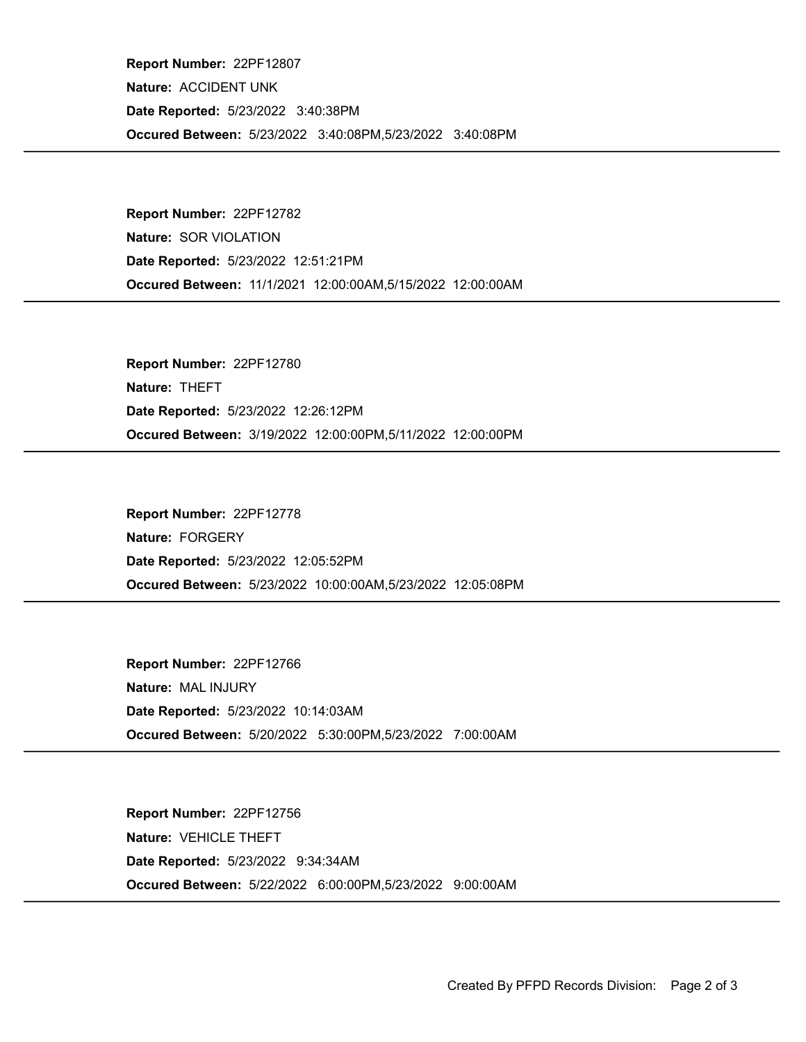Occured Between: 5/23/2022 3:40:08PM,5/23/2022 3:40:08PM Report Number: 22PF12807 Nature: ACCIDENT UNK Date Reported: 5/23/2022 3:40:38PM

Occured Between: 11/1/2021 12:00:00AM,5/15/2022 12:00:00AM Report Number: 22PF12782 Nature: SOR VIOLATION Date Reported: 5/23/2022 12:51:21PM

Occured Between: 3/19/2022 12:00:00PM,5/11/2022 12:00:00PM Report Number: 22PF12780 Nature: THEFT Date Reported: 5/23/2022 12:26:12PM

Occured Between: 5/23/2022 10:00:00AM,5/23/2022 12:05:08PM Report Number: 22PF12778 Nature: FORGERY Date Reported: 5/23/2022 12:05:52PM

Occured Between: 5/20/2022 5:30:00PM,5/23/2022 7:00:00AM Report Number: 22PF12766 Nature: MAL INJURY Date Reported: 5/23/2022 10:14:03AM

Occured Between: 5/22/2022 6:00:00PM,5/23/2022 9:00:00AM Report Number: 22PF12756 Nature: VEHICLE THEFT Date Reported: 5/23/2022 9:34:34AM